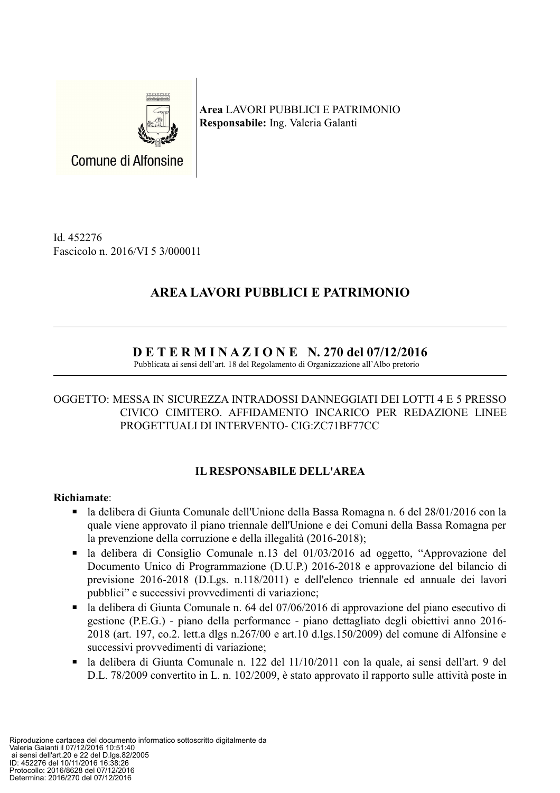

Area LAVORI PUBBLICI E PATRIMONIO Responsabile: Ing. Valeria Galanti

Id. 452276 Fascicolo n. 2016/VI 5 3/000011

# **AREA LAVORI PUBBLICI E PATRIMONIO**

# $D E T E R M I N A Z I O N E N. 270$  del 07/12/2016

Pubblicata ai sensi dell'art. 18 del Regolamento di Organizzazione all'Albo pretorio

### OGGETTO: MESSA IN SICUREZZA INTRADOSSI DANNEGGIATI DEI LOTTI 4 E 5 PRESSO CIVICO CIMITERO. AFFIDAMENTO INCARICO PER REDAZIONE LINEE PROGETTUALI DI INTERVENTO- CIG:ZC71BF77CC

# **IL RESPONSABILE DELL'AREA**

# Richiamate:

- $\blacksquare$ la delibera di Giunta Comunale dell'Unione della Bassa Romagna n. 6 del 28/01/2016 con la quale viene approvato il piano triennale dell'Unione e dei Comuni della Bassa Romagna per la prevenzione della corruzione e della illegalità (2016-2018);
- la delibera di Consiglio Comunale n.13 del 01/03/2016 ad oggetto. "Approvazione del  $\blacksquare$  . Documento Unico di Programmazione (D.U.P.) 2016-2018 e approvazione del bilancio di previsione 2016-2018 (D.Lgs. n.118/2011) e dell'elenco triennale ed annuale dei lavori pubblici" e successivi provvedimenti di variazione;
- la delibera di Giunta Comunale n. 64 del 07/06/2016 di approvazione del piano esecutivo di  $\blacksquare$  . gestione (P.E.G.) - piano della performance - piano dettagliato degli obiettivi anno 2016-2018 (art. 197, co.2, lett.a dlgs n.267/00 e art.10 d.lgs.150/2009) del comune di Alfonsine e successivi provvedimenti di variazione:
- la delibera di Giunta Comunale n. 122 del 11/10/2011 con la quale, ai sensi dell'art. 9 del  $\blacksquare$ D.L. 78/2009 convertito in L. n. 102/2009, è stato approvato il rapporto sulle attività poste in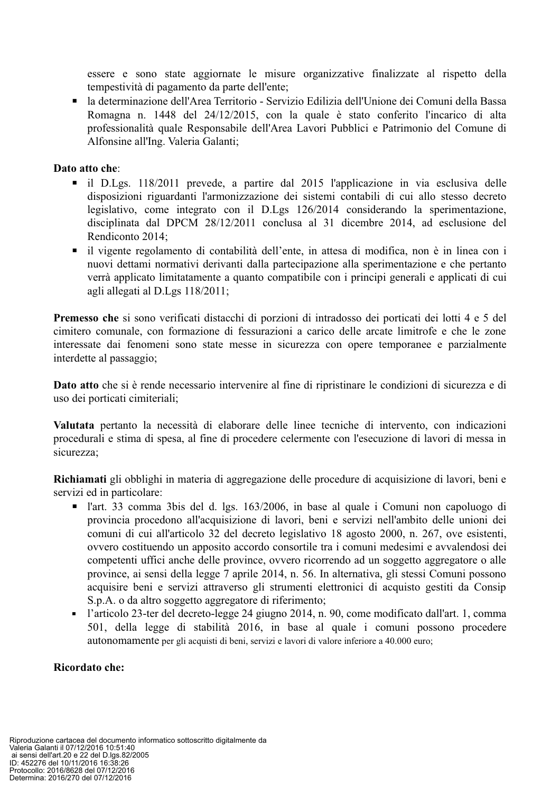essere e sono state aggiornate le misure organizzative finalizzate al rispetto della tempestività di pagamento da parte dell'ente;

la determinazione dell'Area Territorio - Servizio Edilizia dell'Unione dei Comuni della Bassa  $\blacksquare$  . Romagna n. 1448 del 24/12/2015, con la quale è stato conferito l'incarico di alta professionalità quale Responsabile dell'Area Lavori Pubblici e Patrimonio del Comune di Alfonsine all'Ing. Valeria Galanti;

#### Dato atto che:

- il D.Lgs. 118/2011 prevede, a partire dal 2015 l'applicazione in via esclusiva delle disposizioni riguardanti l'armonizzazione dei sistemi contabili di cui allo stesso decreto legislativo, come integrato con il D.Lgs 126/2014 considerando la sperimentazione, disciplinata dal DPCM 28/12/2011 conclusa al 31 dicembre 2014, ad esclusione del Rendiconto 2014:
- il vigente regolamento di contabilità dell'ente, in attesa di modifica, non è in linea con i nuovi dettami normativi derivanti dalla partecipazione alla sperimentazione e che pertanto verrà applicato limitatamente a quanto compatibile con i principi generali e applicati di cui agli allegati al D.Lgs 118/2011;

**Premesso che** si sono verificati distacchi di porzioni di intradosso dei porticati dei lotti 4 e 5 del cimitero comunale, con formazione di fessurazioni a carico delle arcate limitrofe e che le zone interessate dai fenomeni sono state messe in sicurezza con opere temporanee e parzialmente interdette al passaggio;

Dato atto che si è rende necessario intervenire al fine di ripristinare le condizioni di sicurezza e di uso dei porticati cimiteriali;

Valutata pertanto la necessità di elaborare delle linee tecniche di intervento, con indicazioni procedurali e stima di spesa, al fine di procedere celermente con l'esecuzione di lavori di messa in sicurezza:

Richiamati gli obblighi in materia di aggregazione delle procedure di acquisizione di lavori, beni e servizi ed in particolare:

- l'art. 33 comma 3 bis del d. lgs. 163/2006, in base al quale i Comuni non capoluogo di provincia procedono all'acquisizione di lavori, beni e servizi nell'ambito delle unioni dei comuni di cui all'articolo 32 del decreto legislativo 18 agosto 2000, n. 267, ove esistenti, ovvero costituendo un apposito accordo consortile tra i comuni medesimi e avvalendosi dei competenti uffici anche delle province, ovvero ricorrendo ad un soggetto aggregatore o alle province, ai sensi della legge 7 aprile 2014, n. 56. In alternativa, gli stessi Comuni possono acquisire beni e servizi attraverso gli strumenti elettronici di acquisto gestiti da Consip S.p.A. o da altro soggetto aggregatore di riferimento;
- l'articolo 23-ter del decreto-legge 24 giugno 2014, n. 90, come modificato dall'art. 1, comma  $\mathbf{r}$ 501, della legge di stabilità 2016, in base al quale i comuni possono procedere autonomamente per gli acquisti di beni, servizi e lavori di valore inferiore a 40.000 euro;

#### Ricordato che: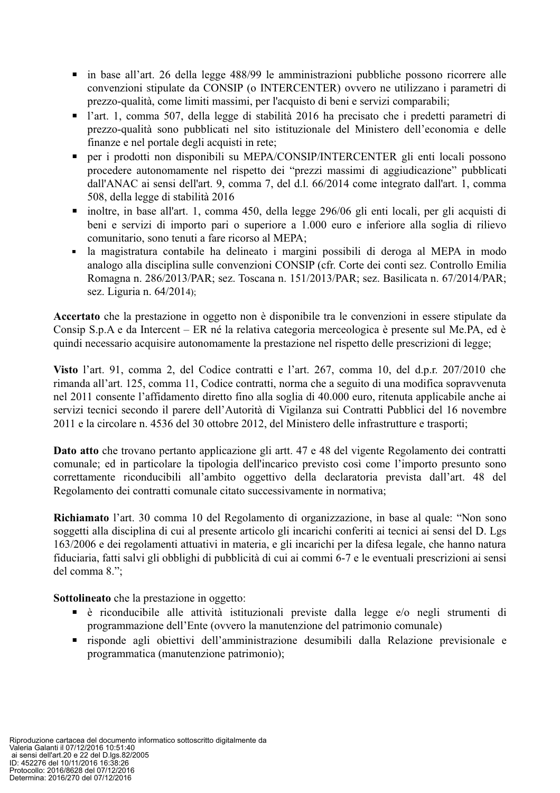- in base all'art. 26 della legge 488/99 le amministrazioni pubbliche possono ricorrere alle convenzioni stipulate da CONSIP (o INTERCENTER) ovvero ne utilizzano i parametri di prezzo-qualità, come limiti massimi, per l'acquisto di beni e servizi comparabili;
- l'art. 1, comma 507, della legge di stabilità 2016 ha precisato che i predetti parametri di prezzo-qualità sono pubblicati nel sito istituzionale del Ministero dell'economia e delle finanze e nel portale degli acquisti in rete;
- per i prodotti non disponibili su MEPA/CONSIP/INTERCENTER gli enti locali possono procedere autonomamente nel rispetto dei "prezzi massimi di aggiudicazione" pubblicati dall'ANAC ai sensi dell'art. 9, comma 7, del d.l. 66/2014 come integrato dall'art. 1, comma 508, della legge di stabilità 2016
- inoltre, in base all'art. 1, comma 450, della legge 296/06 gli enti locali, per gli acquisti di beni e servizi di importo pari o superiore a 1.000 euro e inferiore alla soglia di rilievo comunitario, sono tenuti a fare ricorso al MEPA:
- la magistratura contabile ha delineato i margini possibili di deroga al MEPA in modo analogo alla disciplina sulle convenzioni CONSIP (cfr. Corte dei conti sez. Controllo Emilia Romagna n. 286/2013/PAR; sez. Toscana n. 151/2013/PAR; sez. Basilicata n. 67/2014/PAR; sez. Liguria n. 64/2014);

Accertato che la prestazione in oggetto non è disponibile tra le convenzioni in essere stipulate da Consip S.p.A e da Intercent – ER né la relativa categoria merceologica è presente sul Me.PA, ed è quindi necessario acquisire autonomamente la prestazione nel rispetto delle prescrizioni di legge;

Visto l'art. 91, comma 2, del Codice contratti e l'art. 267, comma 10, del d.p.r. 207/2010 che rimanda all'art. 125, comma 11, Codice contratti, norma che a seguito di una modifica sopravvenuta nel 2011 consente l'affidamento diretto fino alla soglia di 40.000 euro, ritenuta applicabile anche ai servizi tecnici secondo il parere dell'Autorità di Vigilanza sui Contratti Pubblici del 16 novembre 2011 e la circolare n. 4536 del 30 ottobre 2012, del Ministero delle infrastrutture e trasporti;

Dato atto che trovano pertanto applicazione gli artt. 47 e 48 del vigente Regolamento dei contratti comunale: ed in particolare la tipologia dell'incarico previsto così come l'importo presunto sono correttamente riconducibili all'ambito oggettivo della declaratoria prevista dall'art. 48 del Regolamento dei contratti comunale citato successivamente in normativa;

**Richiamato** l'art. 30 comma 10 del Regolamento di organizzazione, in base al quale: "Non sono soggetti alla disciplina di cui al presente articolo gli incarichi conferiti ai tecnici ai sensi del D. Lgs 163/2006 e dei regolamenti attuativi in materia, e gli incarichi per la difesa legale, che hanno natura fiduciaria, fatti salvi gli obblighi di pubblicità di cui ai commi 6-7 e le eventuali prescrizioni ai sensi del comma 8.";

**Sottolineato** che la prestazione in oggetto:

- è riconducibile alle attività istituzionali previste dalla legge e/o negli strumenti di programmazione dell'Ente (ovvero la manutenzione del patrimonio comunale)
- risponde agli obiettivi dell'amministrazione desumibili dalla Relazione previsionale e  $\blacksquare$ programmatica (manutenzione patrimonio);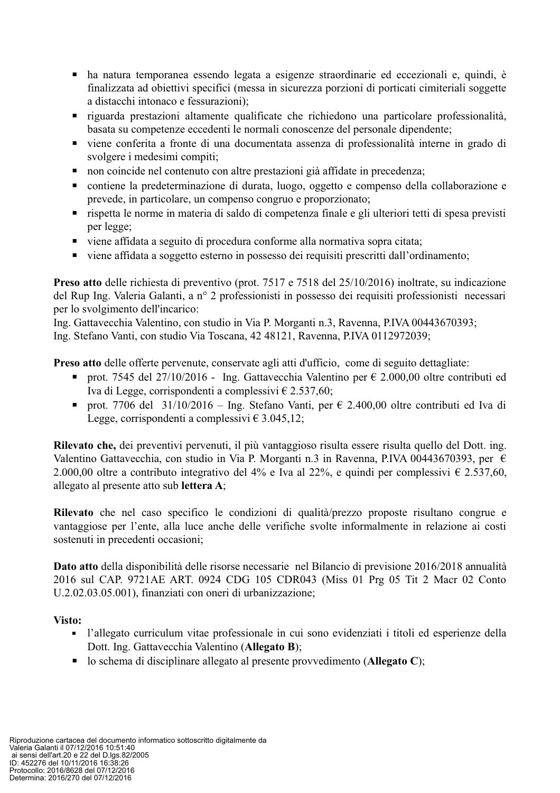- ha natura temporanea essendo legata a esigenze straordinarie ed eccezionali e, quindi, è finalizzata ad obiettivi specifici (messa in sicurezza porzioni di porticati cimiteriali soggette a distacchi intonaco e fessurazioni);
- riguarda prestazioni altamente qualificate che richiedono una particolare professionalità, basata su competenze eccedenti le normali conoscenze del personale dipendente;
- viene conferita a fronte di una documentata assenza di professionalità interne in grado di svolgere i medesimi compiti;
- non coincide nel contenuto con altre prestazioni già affidate in precedenza;  $\blacksquare$  .
- contiene la predeterminazione di durata, luogo, oggetto e compenso della collaborazione e prevede, in particolare, un compenso congruo e proporzionato;
- $\blacksquare$ rispetta le norme in materia di saldo di competenza finale e gli ulteriori tetti di spesa previsti per legge:
- viene affidata a seguito di procedura conforme alla normativa sopra citata;
- viene affidata a soggetto esterno in possesso dei requisiti prescritti dall'ordinamento;  $\blacksquare$

**Preso atto** delle richiesta di preventivo (prot. 7517 e 7518 del  $25/10/2016$ ) inoltrate, su indicazione del Rup Ing. Valeria Galanti, a nº 2 professionisti in possesso dei requisiti professionisti necessari per lo svolgimento dell'incarico:

Ing. Gattavecchia Valentino, con studio in Via P. Morganti n.3, Ravenna, P.IVA 00443670393;

Ing. Stefano Vanti, con studio Via Toscana, 42 48121, Ravenna, P.IVA 0112972039;

Preso atto delle offerte pervenute, conservate agli atti d'ufficio, come di seguito dettagliate:

- prot. 7545 del 27/10/2016 Ing. Gattavecchia Valentino per  $\epsilon$  2.000,00 oltre contributi ed  $\blacksquare$ Iva di Legge, corrispondenti a complessivi € 2.537,60;
- prot. 7706 del 31/10/2016 Ing. Stefano Vanti, per  $\epsilon$  2.400,00 oltre contributi ed Iva di Legge, corrispondenti a complessivi  $\in$  3.045,12;

Rilevato che, dei preventivi pervenuti, il più vantaggioso risulta essere risulta quello del Dott. ing. Valentino Gattavecchia, con studio in Via P. Morganti n.3 in Ravenna, P.IVA 00443670393, per  $\epsilon$ 2.000,00 oltre a contributo integrativo del 4% e Iva al 22%, e quindi per complessivi  $\epsilon$  2.537,60, allegato al presente atto sub lettera A;

Rilevato che nel caso specifico le condizioni di qualità/prezzo proposte risultano congrue e vantaggiose per l'ente, alla luce anche delle verifiche svolte informalmente in relazione ai costi sostenuti in precedenti occasioni;

Dato atto della disponibilità delle risorse necessarie nel Bilancio di previsione 2016/2018 annualità 2016 sul CAP. 9721AE ART. 0924 CDG 105 CDR043 (Miss 01 Prg 05 Tit 2 Macr 02 Conto U.2.02.03.05.001), finanziati con oneri di urbanizzazione;

#### Visto:

- l'allegato curriculum vitae professionale in cui sono evidenziati i titoli ed esperienze della Dott. Ing. Gattavecchia Valentino (Allegato B);
- lo schema di disciplinare allegato al presente provvedimento (Allegato C);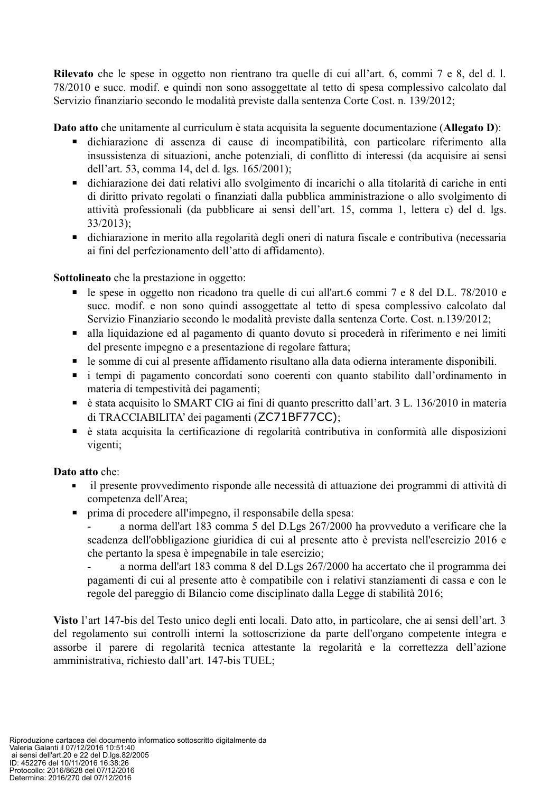Rilevato che le spese in oggetto non rientrano tra quelle di cui all'art. 6, commi 7 e 8, del d. l. 78/2010 e succ. modif. e quindi non sono assoggettate al tetto di spesa complessivo calcolato dal Servizio finanziario secondo le modalità previste dalla sentenza Corte Cost. n. 139/2012;

Dato atto che unitamente al curriculum è stata acquisita la seguente documentazione (Allegato D):

- dichiarazione di assenza di cause di incompatibilità, con particolare riferimento alla insussistenza di situazioni, anche potenziali, di conflitto di interessi (da acquisire ai sensi dell'art. 53, comma 14, del d. lgs. 165/2001);
- dichiarazione dei dati relativi allo svolgimento di incarichi o alla titolarità di cariche in enti  $\blacksquare$ di diritto privato regolati o finanziati dalla pubblica amministrazione o allo svolgimento di attività professionali (da pubblicare ai sensi dell'art. 15, comma 1, lettera c) del d. lgs.  $33/2013$ :
- $\blacksquare$ dichiarazione in merito alla regolarità degli oneri di natura fiscale e contributiva (necessaria ai fini del perfezionamento dell'atto di affidamento).

**Sottolineato** che la prestazione in oggetto:

- le spese in oggetto non ricadono tra quelle di cui all'art.6 commi 7 e 8 del D.L. 78/2010 e  $\blacksquare$  . succ. modif. e non sono quindi assoggettate al tetto di spesa complessivo calcolato dal Servizio Finanziario secondo le modalità previste dalla sentenza Corte. Cost. n.139/2012;
- alla liquidazione ed al pagamento di quanto dovuto si procederà in riferimento e nei limiti  $\blacksquare$  . del presente impegno e a presentazione di regolare fattura:
- le somme di cui al presente affidamento risultano alla data odierna interamente disponibili.  $\blacksquare$  .
- i tempi di pagamento concordati sono coerenti con quanto stabilito dall'ordinamento in materia di tempestività dei pagamenti;
- $\blacksquare$ è stata acquisito lo SMART CIG ai fini di quanto prescritto dall'art. 3 L. 136/2010 in materia di TRACCIABILITA' dei pagamenti (ZC71BF77CC);
- è stata acquisita la certificazione di regolarità contributiva in conformità alle disposizioni  $\blacksquare$ vigenti;

# Dato atto che:

- il presente provvedimento risponde alle necessità di attuazione dei programmi di attività di competenza dell'Area;
- prima di procedere all'impegno, il responsabile della spesa:

a norma dell'art 183 comma 5 del D.Lgs 267/2000 ha provveduto a verificare che la scadenza dell'obbligazione giuridica di cui al presente atto è prevista nell'esercizio 2016 e che pertanto la spesa è impegnabile in tale esercizio;

a norma dell'art 183 comma 8 del D.Lgs 267/2000 ha accertato che il programma dei pagamenti di cui al presente atto è compatibile con i relativi stanziamenti di cassa e con le regole del pareggio di Bilancio come disciplinato dalla Legge di stabilità 2016;

Visto l'art 147-bis del Testo unico degli enti locali. Dato atto, in particolare, che ai sensi dell'art. 3 del regolamento sui controlli interni la sottoscrizione da parte dell'organo competente integra e assorbe il parere di regolarità tecnica attestante la regolarità e la correttezza dell'azione amministrativa, richiesto dall'art. 147-bis TUEL;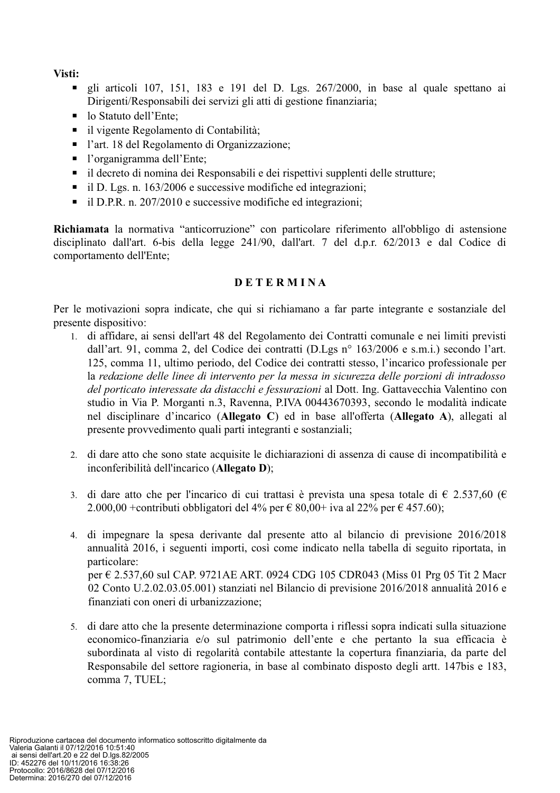Visti:

- gli articoli 107, 151, 183 e 191 del D. Lgs. 267/2000, in base al quale spettano ai Dirigenti/Responsabili dei servizi gli atti di gestione finanziaria;
- lo Statuto dell'Ente;
- il vigente Regolamento di Contabilità;
- l'art. 18 del Regolamento di Organizzazione;
- $\blacksquare$  l'organigramma dell'Ente:
- il decreto di nomina dei Responsabili e dei rispettivi supplenti delle strutture;
- il D. Lgs. n. 163/2006 e successive modifiche ed integrazioni;
- $\blacksquare$  il D.P.R. n. 207/2010 e successive modifiche ed integrazioni:

Richiamata la normativa "anticorruzione" con particolare riferimento all'obbligo di astensione disciplinato dall'art. 6-bis della legge 241/90, dall'art. 7 del d.p.r. 62/2013 e dal Codice di comportamento dell'Ente:

# **DETERMINA**

Per le motivazioni sopra indicate, che qui si richiamano a far parte integrante e sostanziale del presente dispositivo:

- 1. di affidare, ai sensi dell'art 48 del Regolamento dei Contratti comunale e nei limiti previsti dall'art. 91, comma 2, del Codice dei contratti (D.Lgs nº 163/2006 e s.m.i.) secondo l'art. 125, comma 11, ultimo periodo, del Codice dei contratti stesso, l'incarico professionale per la redazione delle linee di intervento per la messa in sicurezza delle porzioni di intradosso del porticato interessate da distacchi e fessurazioni al Dott. Ing. Gattavecchia Valentino con studio in Via P. Morganti n.3, Ravenna, P.IVA 00443670393, secondo le modalità indicate nel disciplinare d'incarico (Allegato C) ed in base all'offerta (Allegato A), allegati al presente provvedimento quali parti integranti e sostanziali;
- 2. di dare atto che sono state acquisite le dichiarazioni di assenza di cause di incompatibilità e inconferibilità dell'incarico (Allegato D);
- 3. di dare atto che per l'incarico di cui trattasi è prevista una spesa totale di  $\epsilon$  2.537,60 ( $\epsilon$ ) 2.000,00 + contributi obbligatori del 4% per  $\epsilon$  80,00+ iva al 22% per  $\epsilon$  457.60);
- 4. di impegnare la spesa derivante dal presente atto al bilancio di previsione 2016/2018 annualità 2016, i seguenti importi, così come indicato nella tabella di seguito riportata, in particolare: per € 2.537.60 sul CAP. 9721AE ART. 0924 CDG 105 CDR043 (Miss 01 Prg 05 Tit 2 Macr) 02 Conto U.2.02.03.05.001) stanziati nel Bilancio di previsione 2016/2018 annualità 2016 e finanziati con oneri di urbanizzazione;
- 5. di dare atto che la presente determinazione comporta i riflessi sopra indicati sulla situazione economico-finanziaria e/o sul patrimonio dell'ente e che pertanto la sua efficacia è subordinata al visto di regolarità contabile attestante la copertura finanziaria, da parte del Responsabile del settore ragioneria, in base al combinato disposto degli artt. 147bis e 183, comma 7, TUEL;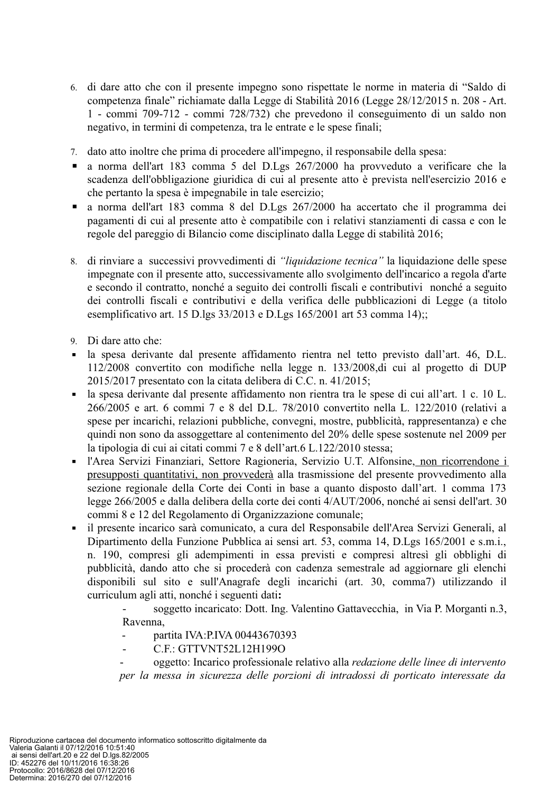- 6. di dare atto che con il presente impegno sono rispettate le norme in materia di "Saldo di competenza finale" richiamate dalla Legge di Stabilità 2016 (Legge 28/12/2015 n. 208 - Art. 1 - commi 709-712 - commi 728/732) che prevedono il conseguimento di un saldo non negativo, in termini di competenza, tra le entrate e le spese finali;
- 7. dato atto inoltre che prima di procedere all'impegno, il responsabile della spesa:
- a norma dell'art 183 comma 5 del D.Lgs 267/2000 ha provveduto a verificare che la  $\blacksquare$ scadenza dell'obbligazione giuridica di cui al presente atto è prevista nell'esercizio 2016 e che pertanto la spesa è impegnabile in tale esercizio:
- a norma dell'art 183 comma 8 del D.Lgs 267/2000 ha accertato che il programma dei  $\mathbf{r}$ pagamenti di cui al presente atto è compatibile con i relativi stanziamenti di cassa e con le regole del pareggio di Bilancio come disciplinato dalla Legge di stabilità 2016;
- 8. di rinviare a successivi provvedimenti di "liquidazione tecnica" la liquidazione delle spese impegnate con il presente atto, successivamente allo svolgimento dell'incarico a regola d'arte e secondo il contratto, nonché a seguito dei controlli fiscali e contributivi nonché a seguito dei controlli fiscali e contributivi e della verifica delle pubblicazioni di Legge (a titolo esemplificativo art. 15 D.lgs 33/2013 e D.Lgs 165/2001 art 53 comma 14);;
- 9. Di dare atto che:
- la spesa derivante dal presente affidamento rientra nel tetto previsto dall'art. 46, D.L.  $\mathbf{r}$  $112/2008$  convertito con modifiche nella legge n. 133/2008 di cui al progetto di DUP 2015/2017 presentato con la citata delibera di C.C. n. 41/2015;
- la spesa derivante dal presente affidamento non rientra tra le spese di cui all'art. 1 c. 10 L.  $\blacksquare$  . 266/2005 e art. 6 commi 7 e 8 del D.L. 78/2010 convertito nella L. 122/2010 (relativi a spese per incarichi, relazioni pubbliche, convegni, mostre, pubblicità, rappresentanza) e che quindi non sono da assoggettare al contenimento del 20% delle spese sostenute nel 2009 per la tipologia di cui ai citati commi 7 e 8 dell'art.6 L.122/2010 stessa;
- l'Area Servizi Finanziari, Settore Ragioneria, Servizio U.T. Alfonsine, non ricorrendone i  $\mathbf{r}$ presupposti quantitativi, non provvederà alla trasmissione del presente provvedimento alla sezione regionale della Corte dei Conti in base a quanto disposto dall'art. 1 comma 173 legge 266/2005 e dalla delibera della corte dei conti 4/AUT/2006, nonché ai sensi dell'art. 30 commi 8 e 12 del Regolamento di Organizzazione comunale:
- il presente incarico sarà comunicato, a cura del Responsabile dell'Area Servizi Generali, al Dipartimento della Funzione Pubblica ai sensi art. 53, comma 14, D.Lgs 165/2001 e s.m.i., n. 190, compresi gli adempimenti in essa previsti e compresi altresì gli obblighi di pubblicità, dando atto che si procederà con cadenza semestrale ad aggiornare gli elenchi disponibili sul sito e sull'Anagrafe degli incarichi (art. 30, comma7) utilizzando il curriculum agli atti, nonché i seguenti dati:

soggetto incaricato: Dott. Ing. Valentino Gattavecchia, in Via P. Morganti n.3, Ravenna,

- partita IVA:P.IVA 00443670393  $\overline{a}$
- C.F.: GTTVNT52L12H199O

oggetto: Incarico professionale relativo alla redazione delle linee di intervento per la messa in sicurezza delle porzioni di intradossi di porticato interessate da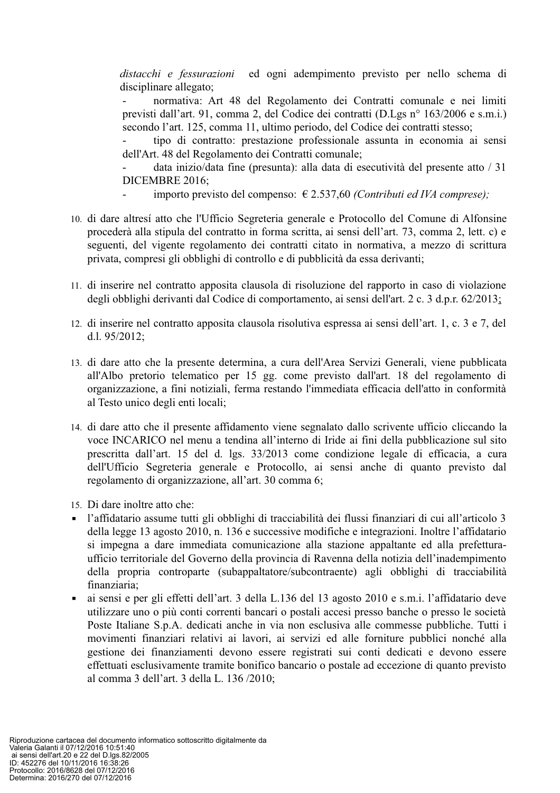distacchi e fessurazioni ed ogni adempimento previsto per nello schema di disciplinare allegato;

normativa: Art 48 del Regolamento dei Contratti comunale e nei limiti previsti dall'art. 91, comma 2, del Codice dei contratti (D.Lgs n° 163/2006 e s.m.i.) secondo l'art. 125, comma 11, ultimo periodo, del Codice dei contratti stesso;

tipo di contratto: prestazione professionale assunta in economia ai sensi dell'Art. 48 del Regolamento dei Contratti comunale;

data inizio/data fine (presunta): alla data di esecutività del presente atto / 31 DICEMBRE 2016;

- importo previsto del compenso:  $\epsilon$  2.537,60 *(Contributi ed IVA comprese)*;
- 10. di dare altresí atto che l'Ufficio Segreteria generale e Protocollo del Comune di Alfonsine procederà alla stipula del contratto in forma scritta, ai sensi dell'art. 73, comma 2, lett. c) e seguenti, del vigente regolamento dei contratti citato in normativa, a mezzo di scrittura privata, compresi gli obblighi di controllo e di pubblicità da essa derivanti;
- 11. di inserire nel contratto apposita clausola di risoluzione del rapporto in caso di violazione degli obblighi derivanti dal Codice di comportamento, ai sensi dell'art. 2 c. 3 d.p.r. 62/2013;
- 12. di inserire nel contratto apposita clausola risolutiva espressa ai sensi dell'art. 1, c. 3 e 7, del d.l. 95/2012;
- 13. di dare atto che la presente determina, a cura dell'Area Servizi Generali, viene pubblicata all'Albo pretorio telematico per 15 gg. come previsto dall'art. 18 del regolamento di organizzazione, a fini notiziali, ferma restando l'immediata efficacia dell'atto in conformità al Testo unico degli enti locali;
- 14. di dare atto che il presente affidamento viene segnalato dallo scrivente ufficio cliccando la voce INCARICO nel menu a tendina all'interno di Iride ai fini della pubblicazione sul sito prescritta dall'art. 15 del d. lgs. 33/2013 come condizione legale di efficacia, a cura dell'Ufficio Segreteria generale e Protocollo, ai sensi anche di quanto previsto dal regolamento di organizzazione, all'art. 30 comma 6;
- 15. Di dare inoltre atto che:
- l'affidatario assume tutti gli obblighi di tracciabilità dei flussi finanziari di cui all'articolo 3 della legge 13 agosto 2010, n. 136 e successive modifiche e integrazioni. Inoltre l'affidatario si impegna a dare immediata comunicazione alla stazione appaltante ed alla prefetturaufficio territoriale del Governo della provincia di Ravenna della notizia dell'inadempimento della propria controparte (subappaltatore/subcontraente) agli obblighi di tracciabilità finanziaria;
- ai sensi e per gli effetti dell'art. 3 della L.136 del 13 agosto 2010 e s.m.i. l'affidatario deve  $\blacksquare$  . utilizzare uno o più conti correnti bancari o postali accesi presso banche o presso le società Poste Italiane S.p.A. dedicati anche in via non esclusiva alle commesse pubbliche. Tutti i movimenti finanziari relativi ai lavori, ai servizi ed alle forniture pubblici nonché alla gestione dei finanziamenti devono essere registrati sui conti dedicati e devono essere effettuati esclusivamente tramite bonifico bancario o postale ad eccezione di quanto previsto al comma 3 dell'art. 3 della L. 136/2010: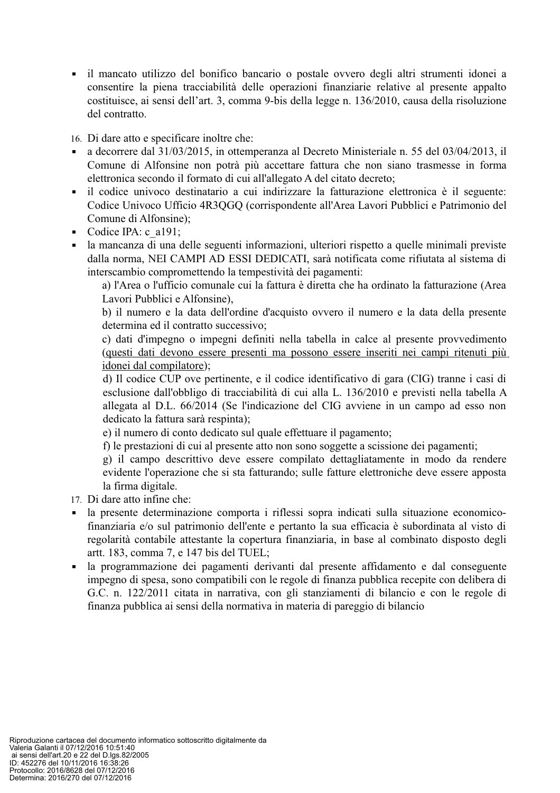• il mancato utilizzo del bonifico bancario o postale ovvero degli altri strumenti idonei a consentire la piena tracciabilità delle operazioni finanziarie relative al presente appalto costituisce, ai sensi dell'art. 3, comma 9-bis della legge n. 136/2010, causa della risoluzione del contratto.

16. Di dare atto e specificare inoltre che:

- a decorrere dal 31/03/2015, in ottemperanza al Decreto Ministeriale n. 55 del 03/04/2013, il  $\blacksquare$ Comune di Alfonsine non potrà più accettare fattura che non siano trasmesse in forma elettronica secondo il formato di cui all'allegato A del citato decreto;
- il codice univoco destinatario a cui indirizzare la fatturazione elettronica è il seguente:  $\blacksquare$ Codice Univoco Ufficio 4R3OGO (corrispondente all'Area Lavori Pubblici e Patrimonio del Comune di Alfonsine);
- Codice IPA: c a191;
- la mancanza di una delle seguenti informazioni, ulteriori rispetto a quelle minimali previste dalla norma, NEI CAMPI AD ESSI DEDICATI, sarà notificata come rifiutata al sistema di interscambio compromettendo la tempestività dei pagamenti:

a) l'Area o l'ufficio comunale cui la fattura è diretta che ha ordinato la fatturazione (Area Lavori Pubblici e Alfonsine).

b) il numero e la data dell'ordine d'acquisto ovvero il numero e la data della presente determina ed il contratto successivo;

c) dati d'impegno o impegni definiti nella tabella in calce al presente provvedimento (questi dati devono essere presenti ma possono essere inseriti nei campi ritenuti più idonei dal compilatore);

d) Il codice CUP ove pertinente, e il codice identificativo di gara (CIG) tranne i casi di esclusione dall'obbligo di tracciabilità di cui alla L. 136/2010 e previsti nella tabella A allegata al D.L. 66/2014 (Se l'indicazione del CIG avviene in un campo ad esso non dedicato la fattura sarà respinta);

e) il numero di conto dedicato sul quale effettuare il pagamento;

f) le prestazioni di cui al presente atto non sono soggette a scissione dei pagamenti;

g) il campo descrittivo deve essere compilato dettagliatamente in modo da rendere evidente l'operazione che si sta fatturando; sulle fatture elettroniche deve essere apposta la firma digitale.

- 17. Di dare atto infine che:
- la presente determinazione comporta i riflessi sopra indicati sulla situazione economico- $\mathbf{r}$ finanziaria e/o sul patrimonio dell'ente e pertanto la sua efficacia è subordinata al visto di regolarità contabile attestante la copertura finanziaria, in base al combinato disposto degli artt. 183, comma 7, e 147 bis del TUEL;
- la programmazione dei pagamenti derivanti dal presente affidamento e dal conseguente  $\mathbf{r}$  . impegno di spesa, sono compatibili con le regole di finanza pubblica recepite con delibera di G.C. n. 122/2011 citata in narrativa, con gli stanziamenti di bilancio e con le regole di finanza pubblica ai sensi della normativa in materia di pareggio di bilancio